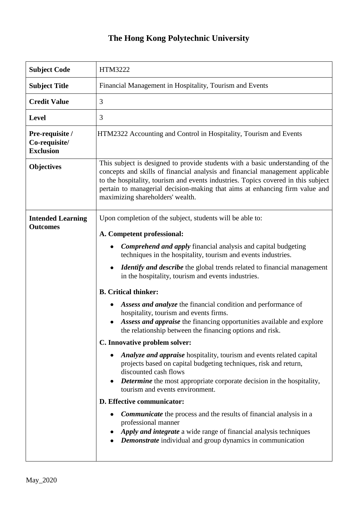## **The Hong Kong Polytechnic University**

| <b>Subject Code</b>                                  | HTM3222                                                                                                                                                                                                                                                                                                                                                                                                                                                                                                                                                                                                                                                                                                                                                                                                                                                                                                                                                                                                                          |
|------------------------------------------------------|----------------------------------------------------------------------------------------------------------------------------------------------------------------------------------------------------------------------------------------------------------------------------------------------------------------------------------------------------------------------------------------------------------------------------------------------------------------------------------------------------------------------------------------------------------------------------------------------------------------------------------------------------------------------------------------------------------------------------------------------------------------------------------------------------------------------------------------------------------------------------------------------------------------------------------------------------------------------------------------------------------------------------------|
| <b>Subject Title</b>                                 | Financial Management in Hospitality, Tourism and Events                                                                                                                                                                                                                                                                                                                                                                                                                                                                                                                                                                                                                                                                                                                                                                                                                                                                                                                                                                          |
| <b>Credit Value</b>                                  | 3                                                                                                                                                                                                                                                                                                                                                                                                                                                                                                                                                                                                                                                                                                                                                                                                                                                                                                                                                                                                                                |
| <b>Level</b>                                         | 3                                                                                                                                                                                                                                                                                                                                                                                                                                                                                                                                                                                                                                                                                                                                                                                                                                                                                                                                                                                                                                |
| Pre-requisite /<br>Co-requisite/<br><b>Exclusion</b> | HTM2322 Accounting and Control in Hospitality, Tourism and Events                                                                                                                                                                                                                                                                                                                                                                                                                                                                                                                                                                                                                                                                                                                                                                                                                                                                                                                                                                |
| <b>Objectives</b>                                    | This subject is designed to provide students with a basic understanding of the<br>concepts and skills of financial analysis and financial management applicable<br>to the hospitality, tourism and events industries. Topics covered in this subject<br>pertain to managerial decision-making that aims at enhancing firm value and<br>maximizing shareholders' wealth.                                                                                                                                                                                                                                                                                                                                                                                                                                                                                                                                                                                                                                                          |
| <b>Intended Learning</b><br><b>Outcomes</b>          | Upon completion of the subject, students will be able to:<br>A. Competent professional:<br><b>Comprehend and apply financial analysis and capital budgeting</b><br>$\bullet$<br>techniques in the hospitality, tourism and events industries.<br><b>Identify and describe</b> the global trends related to financial management<br>in the hospitality, tourism and events industries.<br><b>B.</b> Critical thinker:<br>Assess and analyze the financial condition and performance of<br>٠<br>hospitality, tourism and events firms.<br>Assess and appraise the financing opportunities available and explore<br>the relationship between the financing options and risk.<br>C. Innovative problem solver:<br>Analyze and appraise hospitality, tourism and events related capital<br>projects based on capital budgeting techniques, risk and return,<br>discounted cash flows<br><b>Determine</b> the most appropriate corporate decision in the hospitality,<br>tourism and events environment.<br>D. Effective communicator: |
|                                                      | <b>Communicate</b> the process and the results of financial analysis in a<br>professional manner<br>Apply and integrate a wide range of financial analysis techniques<br><b>Demonstrate</b> individual and group dynamics in communication                                                                                                                                                                                                                                                                                                                                                                                                                                                                                                                                                                                                                                                                                                                                                                                       |

ı